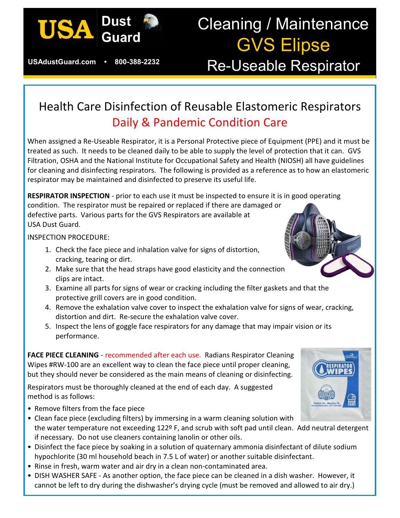

**USAdustGuard.com • 800-388-2232**

# Cleaning / Maintenance GVS Elipse Re-Useable Respirator

# Health Care Disinfection of Reusable Elastomeric Respirators Daily & Pandemic Condition Care

When assigned a Re-Useable Respirator, it is a Personal Protective piece of Equipment (PPE) and it must be treated as such. It needs to be cleaned daily to be able to supply the level of protection that it can. GVS Filtration, OSHA and the National Institute for Occupational Safety and Health (NIOSH) all have guidelines for cleaning and disinfecting respirators. The following is provided as a reference as to how an elastomeric respirator may be maintained and disinfected to preserve its useful life.

**RESPIRATOR INSPECTION** - prior to each use it must be inspected to ensure it is in good operating condition. The respirator must be repaired or replaced if there are damaged or defective parts. Various parts for the GVS Respirators are available at USA Dust Guard.

INSPECTION PROCEDURE:

- 1. Check the face piece and inhalation valve for signs of distortion, cracking, tearing or dirt.
- 2. Make sure that the head straps have good elasticity and the connection clips are intact.
- 3. Examine all parts for signs of wear or cracking including the filter gaskets and that the protective grill covers are in good condition.
- 4. Remove the exhalation valve cover to inspect the exhalation valve for signs of wear, cracking, distortion and dirt. Re-secure the exhalation valve cover.
- 5. Inspect the lens of goggle face respirators for any damage that may impair vision or its performance.

**FACE PIECE CLEANING** - recommended after each use. Radians Respirator Cleaning Wipes #RW-100 are an excellent way to clean the face piece until proper cleaning, but they should never be considered as the main means of cleaning or disinfecting.

Respirators must be thoroughly cleaned at the end of each day. A suggested method is as follows:

- Remove filters from the face piece
- Clean face piece (excluding filters) by immersing in a warm cleaning solution with the water temperature not exceeding 122º F, and scrub with soft pad until clean. Add neutral detergent if necessary. Do not use cleaners containing lanolin or other oils.
- Disinfect the face piece by soaking in a solution of quaternary ammonia disinfectant of dilute sodium hypochlorite (30 ml household beach in 7.5 L of water) or another suitable disinfectant.
- Rinse in fresh, warm water and air dry in a clean non-contaminated area.
- DISH WASHER SAFE As another option, the face piece can be cleaned in a dish washer. However, it cannot be left to dry during the dishwasher's drying cycle (must be removed and allowed to air dry.)